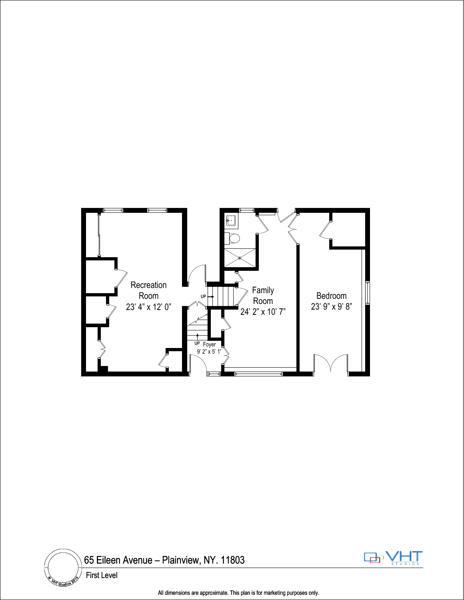



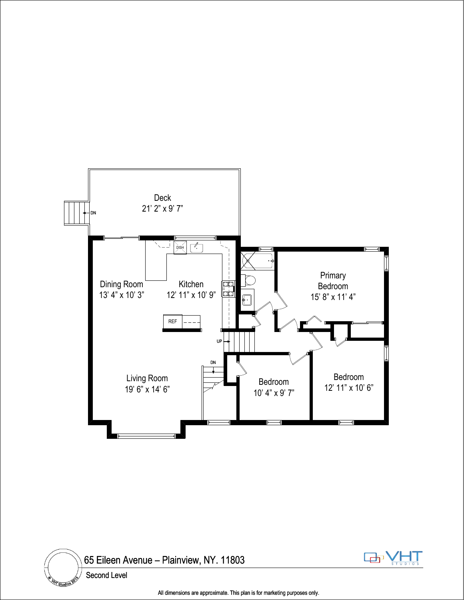





All dimensions are approximate. This plan is for marketing purposes only.